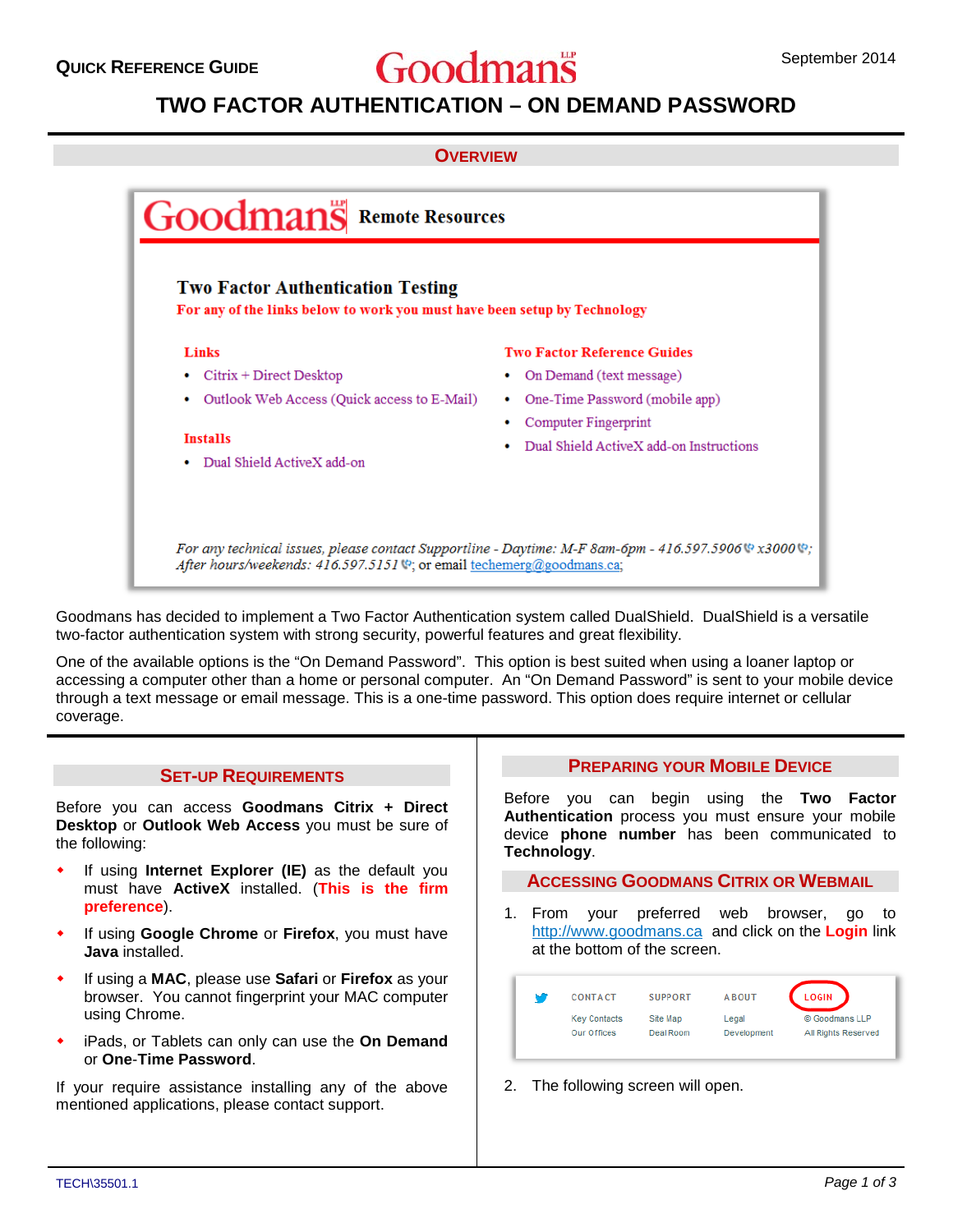# **QUICK REFERENCE GUIDE September 2014** September 2014

# **TWO FACTOR AUTHENTICATION – ON DEMAND PASSWORD**





Goodmans has decided to implement a Two Factor Authentication system called DualShield. DualShield is a versatile two-factor authentication system with strong security, powerful features and great flexibility.

One of the available options is the "On Demand Password". This option is best suited when using a loaner laptop or accessing a computer other than a home or personal computer. An "On Demand Password" is sent to your mobile device through a text message or email message. This is a one-time password. This option does require internet or cellular coverage.

#### **SET-UP REQUIREMENTS**

Before you can access **Goodmans Citrix + Direct Desktop** or **Outlook Web Access** you must be sure of the following:

- If using **Internet Explorer (IE)** as the default you must have **ActiveX** installed. (**This is the firm preference**).
- If using **Google Chrome** or **Firefox**, you must have **Java** installed.
- If using a **MAC**, please use **Safari** or **Firefox** as your browser. You cannot fingerprint your MAC computer using Chrome.
- iPads, or Tablets can only can use the **On Demand** or **One**-**Time Password**.

If your require assistance installing any of the above mentioned applications, please contact support.

## **PREPARING YOUR MOBILE DEVICE**

Before you can begin using the **Two Factor Authentication** process you must ensure your mobile device **phone number** has been communicated to **Technology**.

**ACCESSING GOODMANS CITRIX OR WEBMAIL**

1. From your preferred web browser, go to http://www.goodmans.ca and click on the **Login** link at the bottom of the screen.

| м | <b>CONTACT</b>      | <b>SUPPORT</b> | <b>ABOUT</b> | <b>LOGIN</b>        |
|---|---------------------|----------------|--------------|---------------------|
|   | <b>Key Contacts</b> | Site Map       | Legal        | © Goodmans LLP      |
|   | Our Offices         | Deal Room      | Development  | All Rights Reserved |

2. The following screen will open.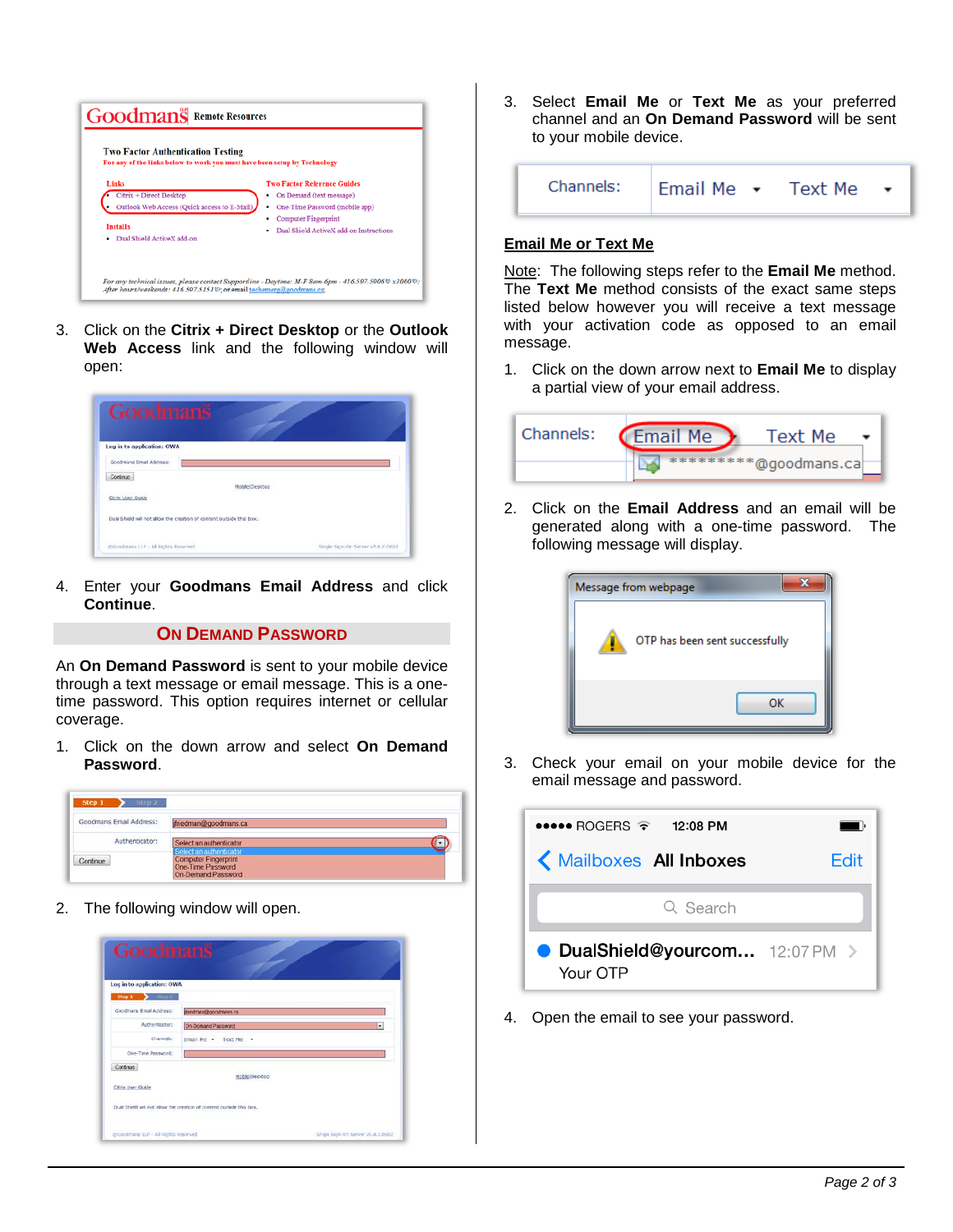

3. Click on the **Citrix + Direct Desktop** or the **Outlook Web Access** link and the following window will open:

| Goodmans                                                              |                       |                                   |
|-----------------------------------------------------------------------|-----------------------|-----------------------------------|
| Log in to application: OWA                                            |                       |                                   |
| Goodmans firmal Address:                                              |                       |                                   |
| Continue                                                              |                       |                                   |
|                                                                       | <b>Nobilc Desktop</b> |                                   |
| Citrix User Guide                                                     |                       |                                   |
| Dual Shield will not allow the creation of content outside this box." |                       |                                   |
| @Goodmans LLP > All Rights Reserved                                   |                       | Single Sign-On Serrer y5.8.0.0602 |

4. Enter your **Goodmans Email Address** and click **Continue**.

#### **ON DEMAND PASSWORD**

An **On Demand Password** is sent to your mobile device through a text message or email message. This is a onetime password. This option requires internet or cellular coverage.

1. Click on the down arrow and select **On Demand Password**.

| Step 2<br>Step 1                                                  |                                                                        |  |
|-------------------------------------------------------------------|------------------------------------------------------------------------|--|
| Goodmans Email Address:<br>rang yang mengenakan kalendar Kalendar | friedman@goodmans.ca                                                   |  |
| Authenticator:                                                    | Select an authenticator<br>Select an authenticator                     |  |
| Continue                                                          | <b>Computer Fingerprint</b><br>One-Time Password<br>On-Demand Password |  |

2. The following window will open.

| Log in to application: OWA |                      |
|----------------------------|----------------------|
| $Step 1$ $Step 2$          |                      |
| Goodmans Email Address:    | medman@goodmans.ca   |
| Authenticator:             | On Domand Password   |
| <b>Channels:</b>           | Email Me - Text Me - |
| One-Time Password:         |                      |
| Continue                   | Mable   Desktop      |
|                            |                      |
| Citrix User Guide          |                      |

3. Select **Email Me** or **Text Me** as your preferred channel and an **On Demand Password** will be sent to your mobile device.

$$
\begin{array}{|c|c|c|c|}\n\hline\n\text{channels:} & \text{Email Me} & \star & \text{Text Me} & \star \\
\hline\n\end{array}
$$

### **Email Me or Text Me**

Note: The following steps refer to the **Email Me** method. The **Text Me** method consists of the exact same steps listed below however you will receive a text message with your activation code as opposed to an email message.

1. Click on the down arrow next to **Email Me** to display a partial view of your email address.

| Channels: | <b>Email Me</b> | Text Me               |  |
|-----------|-----------------|-----------------------|--|
|           |                 | *********@goodmans.ca |  |

2. Click on the **Email Address** and an email will be generated along with a one-time password. The following message will display.

| Message from webpage           |  |
|--------------------------------|--|
| OTP has been sent successfully |  |
| OK                             |  |

3. Check your email on your mobile device for the email message and password.



4. Open the email to see your password.